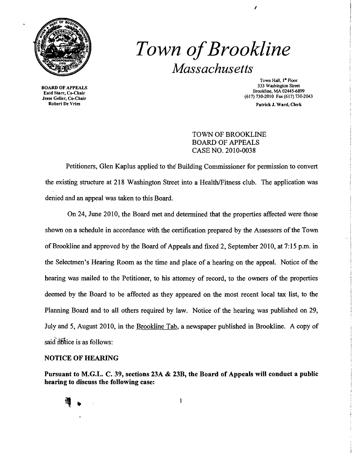

## *Town ofBrookline Massachusetts*

BOARD OF APPEALS Enid Starr, Co-Chair Jesse Geller, Co-Chair Robert De Vries

Town Hall, 1<sup>ª</sup> Floor 333 Washington Street Brookline. MA 02445-6899 (617) 730-2010 Fax (617) 730-2043

I

Patrick J. Ward, Clerk

## TOWN OF BROOKLINE BOARD OF APPEALS CASE NO. 2010-0038

Petitioners, Glen Kaplus applied to the Building Commissioner for permission to convert the existing structure at 218 Washington Street into a Health/Fitness club. The application was denied and an appeal was taken to this Board.

On 24, June 2010, the Board met and determined that the properties affected were those shown on a schedule in accordance with the certification prepared by the Assessors of the Town of Brookline and approved by the Board of Appeals and fixed 2, September 2010, at 7:15 p.m. in the Selectmen's Hearing Room as the time and place of a hearing on the appeal. Notice of the hearing was mailed to the Petitioner, to his attorney of record, to the owners of the properties deemed by the Board to be affected as they appeared on the most recent local tax list, to the Planning Board and to all others required by law. Notice of the hearing was published on 29, July and 5, August 2010, in the Brookline Tab, a newspaper published in Brookline. A copy of said notice is as follows:

## NOTICE OF HEARING

Pursuant to M.G.L. C. 39, sections 23A & 23B, the Board of Appeals will conduct a public hearing to discuss the following case:

 $\mathbf{1}$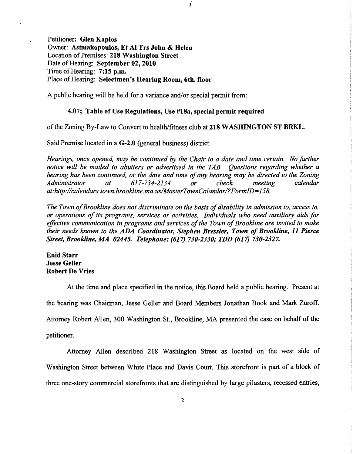Petitioner: Glen Kaplos Owner: Asimakopoulos, Et Al Trs John & Helen Location of Premises: 218 Washington Street Date of Hearing: September 02, 2010 Time of Hearing: 7:15 p.m. Place of Hearing: Selectmen's Hearing Room, 6th. floor

A public hearing will be held for a variance and/or special permit from:

## 4.07; Table of Use Regulations, Use #18a, special permit required

of the Zoning By-Law to Convert to health/fitness club at 218 WASHINGTON ST BRKL.

I

Said Premise located in a G-2.0 (general business) district.

*Hearings, once opened, may be continued by the Chair to a date and time certain. No further notice will be mailed to abutters or advertised in the TAB. Questions regarding whether a hearing has been continued, or the date and time of any hearing may be directed to the Zoning Administrator* at  $617-734-2134$  or check meeting calendar Administrator at 617-734-2134 or check meeting *at:http://calendars.town.brookline.ma.usIMasterTownCalandarl?FormID=158.* 

The Town of Brookline does not discriminate on the basis of disability in admission to, access to, *or operations of its programs, services or activities. Individuals who need auxiliary aids for effective communication in programs and services of the Town of Brookline are invited to make their needs known to the* ADA *Coordinator, Stephen Bressler, Town of Brookline,* 11 *Pierce Street, Brookline, MA 02445. Telephone:* (617) *730-2330; TDD* (617) *730-2327.* 

Enid Starr Jesse Geller Robert De Vries

At the time and place specified in the notice, this Board held a public hearing. Present at the hearing was Chairman, Jesse Geller and Board Members Jonathan Book and Mark Zuroff. Attorney Robert Allen, 300 Washington St., Brookline, MA presented the case on behalf of the petitioner.

Attorney Allen described 218 Washington Street as located on the west side of Washington Street between White Place and Davis Court. This storefront is part of a block of three one-story commercial storefronts that are distinguished by large pilasters, recessed entries,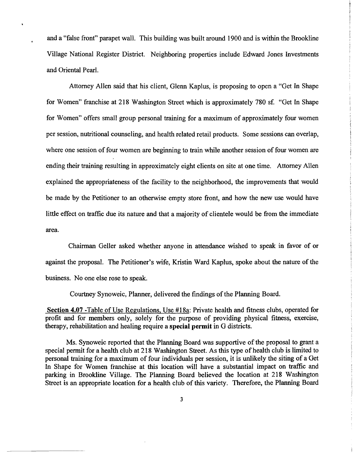and a "false front" parapet wall. This building was built around 1900 and is within the Brookline Village National Register District. Neighboring properties include Edward Jones Investments and Oriental Pearl.

Attorney Allen said that his client, Glenn Kaplus, is proposing to open a "Get In Shape for Women" franchise at 218 Washington Street which is approximately 780 sf. "Get In Shape for Women" offers small group personal training for a maximum of approximately four women per session, nutritional counseling, and health related retail products. Some sessions can overlap, where one session of four women are beginning to train while another session of four women are ending their training resulting in approximately eight clients on site at one time. Attorney Allen explained the appropriateness of the facility to the neighborhood, the improvements that would be made by the Petitioner to an otherwise empty store front, and how the new use would have little effect on traffic due its nature and that a majority of clientele would be from the immediate area.

Chairman Geller asked whether anyone in attendance wished to speak in favor of or against the proposal. The Petitioner's wife, Kristin Ward Kaplus, spoke about the nature of the business. No one else rose to speak.

Courtney Synoweic, Planner, delivered the findings of the Planning Board.

**Section 4.07** -Table of Use Regulations, Use #18a: Private health and fitness clubs, operated for profit and for members only, solely for the purpose of providing physical fitness, exercise, therapy, rehabilitation and healing require a **special permit** in G districts.

Ms. Synoweic reported that the Planning Board was supportive of the proposal to grant a special permit for a health club at 218 Washington Street. As this type of health club is limited to personal training for a maximum of four individuals per session, it is unlikely the siting of a Get In Shape for Women franchise at this location will have a substantial impact on traffic and parking in Brookline Village. The Planning Board believed the location at 218 Washington Street is an appropriate location for a health club of this variety. Therefore, the Planning Board

3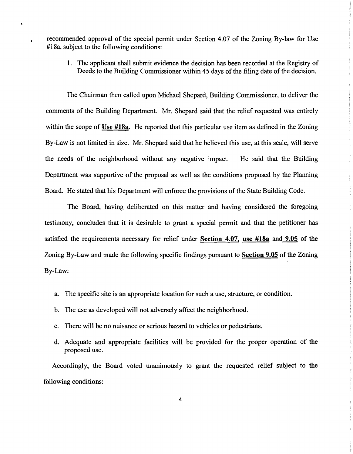recommended approval of the special permit under Section 4.07 of the Zoning By-law for Use #18a, subject to the following conditions:

1. The applicant shall submit evidence the decision has been recorded at the Registry of Deeds to the Building Commissioner within 45 days of the filing date of the decision.

The Chairman then called upon Michael Shepard, Building Commissioner, to deliver the comments of the Building Department. Mr. Shepard said that the relief requested was entirely within the scope of Use #18a. He reported that this particular use item as defined in the Zoning By-Law is not limited in size. Mr. Shepard said that he believed this use, at this scale, will serve the needs of the neighborhood without any negative impact. He said that the Building Department was supportive of the proposal as well as the conditions proposed by the Planning Board. He stated that his Department will enforce the provisions of the State Building Code.

The Board, having deliberated on this matter and having considered the foregoing testimony, concludes that it is desirable to grant a special pennit and that the petitioner has satisfied the requirements necessary for relief under Section 4.07, use #18a and 9.05 of the Zoning By-Law and made the following specific findings pursuant to Section 9.05 of the Zoning By-Law:

- a. The specific site is an appropriate location for such a use, structure, or condition.
- b. The use as developed will not adversely affect the neighborhood.
- c. There will be no nuisance or serious hazard to vehicles or pedestrians.
- d. Adequate and appropriate facilities will be provided for the proper operation of the proposed use.

Accordingly, the Board voted unanimously to grant the requested relief subject to the following conditions: